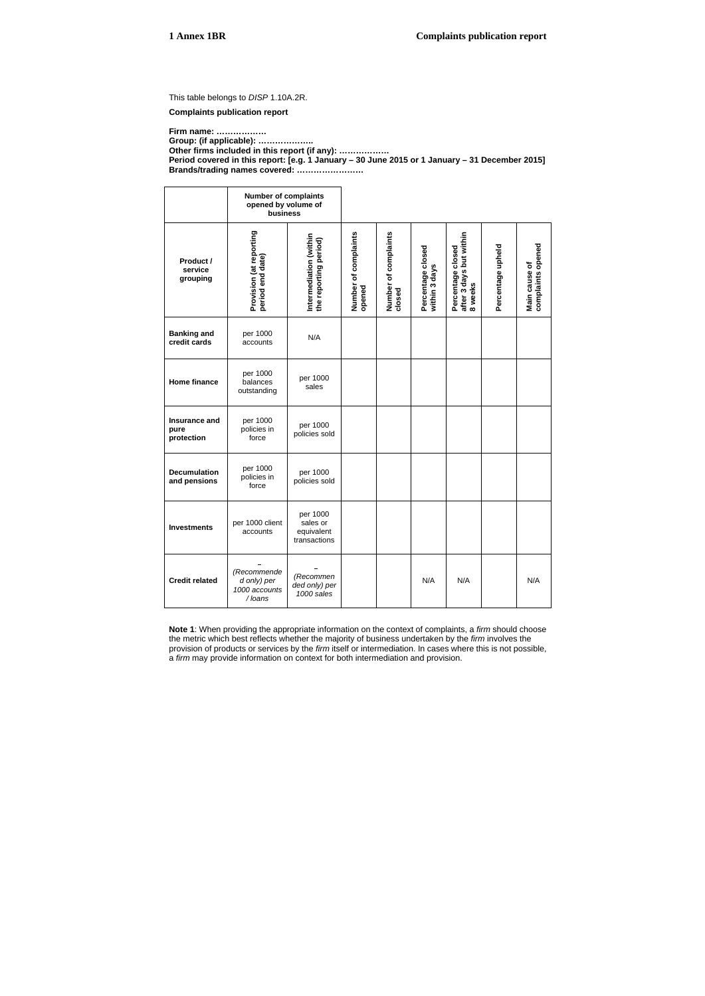This table belongs to *DISP* 1.10A.2R.

**Complaints publication report** 

**Firm name: ……………… Group: (if applicable): ……………….. Other firms included in this report (if any): ……………… Period covered in this report: [e.g. 1 January – 30 June 2015 or 1 January – 31 December 2015] Brands/trading names covered: ……………………** 

**Number of complaints opened by volume of business**  Percentage closed<br>after 3 days but within<br>8 weeks Provision (at reporting<br>period end date) **Provision (at reporting Number of complaints Number of complaints after 3 days but within Intermediation (within Number of complaints<br>opened** of complaints Intermediation (within<br>the reporting period) **the reporting period) complaints opened Percentage upheld**  Main cause of<br>complaints opened Percentage closed<br>within 3 days **Percentage closed Percentage closed**  Percentage upheld **period end date) Product / Main cause of within 3 days service grouping closed 8 weeks Banking and**  per 1000 per 1000<br>accounts N/A **credit cards**  per 1000 per 1000 **Home finance**  balances sales outstanding **Insurance and**  per 1000 per 1000 **pure**  policies in policies sold **protection**  force per 1000 per 1000 **Decumulation**  policies in **and pensions**  policies sold force per 1000 **Investments** per 1000 client sales or accounts equivalent transactions *(Recommende (Recommen* **Credit related**  N/A N/A N/A *d only) per ded only) per 1000 accounts 1000 sales / loans*

**Note 1**: When providing the appropriate information on the context of complaints, a *firm* should choose the metric which best reflects whether the majority of business undertaken by the *firm* involves the provision of products or services by the *firm* itself or intermediation. In cases where this is not possible, a *firm* may provide information on context for both intermediation and provision.